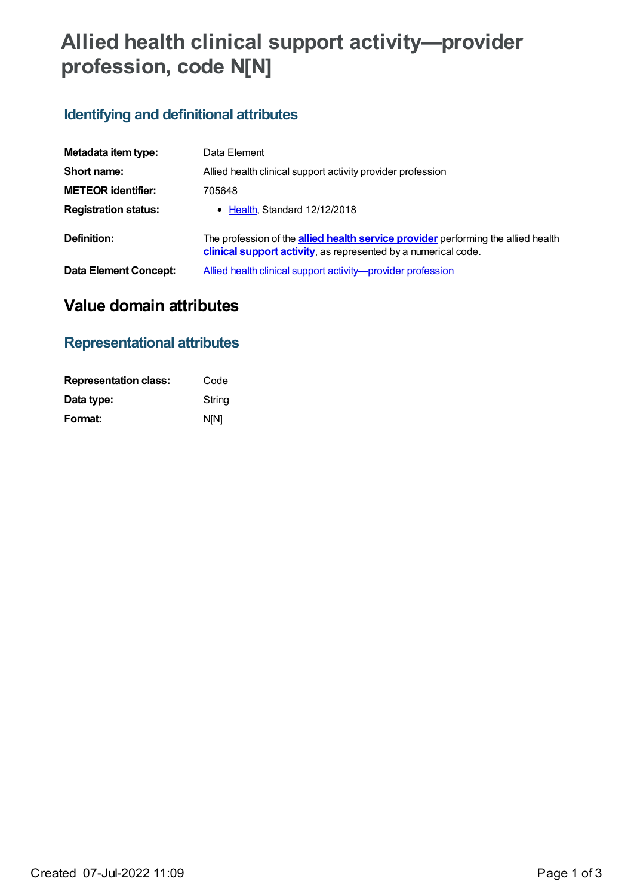# **Allied health clinical support activity—provider profession, code N[N]**

## **Identifying and definitional attributes**

| Metadata item type:         | Data Element                                                                                                                                               |  |
|-----------------------------|------------------------------------------------------------------------------------------------------------------------------------------------------------|--|
| Short name:                 | Allied health clinical support activity provider profession                                                                                                |  |
| <b>METEOR identifier:</b>   | 705648                                                                                                                                                     |  |
| <b>Registration status:</b> | • Health, Standard 12/12/2018                                                                                                                              |  |
| Definition:                 | The profession of the <b>allied health service provider</b> performing the allied health<br>clinical support activity, as represented by a numerical code. |  |
| Data Element Concept:       | Allied health clinical support activity-provider profession                                                                                                |  |

## **Value domain attributes**

### **Representational attributes**

| <b>Representation class:</b> | Code        |
|------------------------------|-------------|
| Data type:                   | String      |
| Format:                      | <b>N[N]</b> |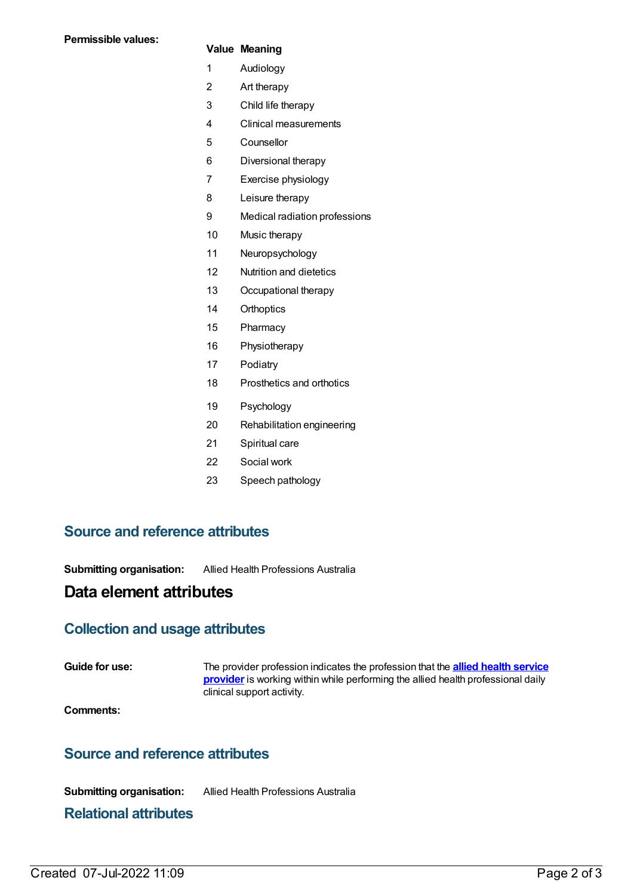#### **Value Meaning**

- Audiology
- Art therapy
- Child life therapy
- Clinical measurements
- Counsellor
- Diversional therapy
- Exercise physiology
- Leisure therapy
- Medical radiation professions
- Music therapy
- Neuropsychology
- Nutrition and dietetics
- Occupational therapy
- Orthoptics
- Pharmacy
- Physiotherapy
- Podiatry
- Prosthetics and orthotics
- Psychology
- Rehabilitation engineering
- Spiritual care
- Social work
- Speech pathology

#### **Source and reference attributes**

**Submitting organisation:** Allied Health Professions Australia

#### **Data element attributes**

#### **Collection and usage attributes**

**Guide for use:** The provider profession indicates the profession that the **allied health service provider** is working within while performing the allied health [professional](https://meteor.aihw.gov.au/content/705622) daily clinical support activity.

**Comments:**

#### **Source and reference attributes**

**Submitting organisation:** Allied Health Professions Australia

#### **Relational attributes**